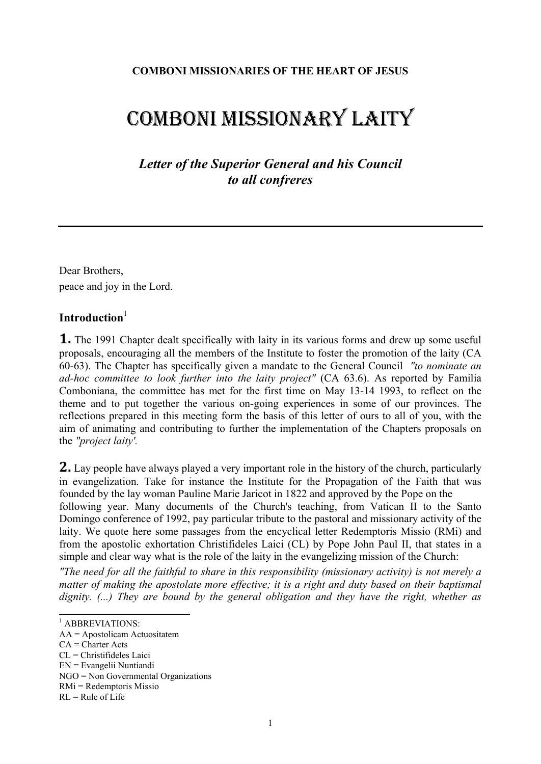#### **COMBONI MISSIONARIES OF THE HEART OF JESUS**

# COMBONI MISSIONARY LAITY

*Letter of the Superior General and his Council to all confreres*

Dear Brothers, peace and joy in the Lord.

## Introduction<sup>1</sup>

**1.** The 1991 Chapter dealt specifically with laity in its various forms and drew up some useful proposals, encouraging all the members of the Institute to foster the promotion of the laity (CA 60-63). The Chapter has specifically given a mandate to the General Council *"to nominate an ad-hoc committee to look further into the laity project"* (CA 63.6). As reported by Familia Comboniana, the committee has met for the first time on May 13-14 1993, to reflect on the theme and to put together the various on-going experiences in some of our provinces. The reflections prepared in this meeting form the basis of this letter of ours to all of you, with the aim of animating and contributing to further the implementation of the Chapters proposals on the *"project laity'.*

**2.** Lay people have always played a very important role in the history of the church, particularly in evangelization. Take for instance the Institute for the Propagation of the Faith that was founded by the lay woman Pauline Marie Jaricot in 1822 and approved by the Pope on the following year. Many documents of the Church's teaching, from Vatican II to the Santo Domingo conference of 1992, pay particular tribute to the pastoral and missionary activity of the laity. We quote here some passages from the encyclical letter Redemptoris Missio (RMi) and from the apostolic exhortation Christifideles Laici (CL) by Pope John Paul II, that states in a simple and clear way what is the role of the laity in the evangelizing mission of the Church:

*"The need for all the faithful to share in this responsibility (missionary activity) is not merely a matter of making the apostolate more effective; it is a right and duty based on their baptismal dignity. (...) They are bound by the general obligation and they have the right, whether as* 

-

<sup>&</sup>lt;sup>1</sup> ABBREVIATIONS:

AA = Apostolicam Actuositatem

 $CA =$ Charter Acts

CL = Christifideles Laici

EN = Evangelii Nuntiandi

NGO = Non Governmental Organizations

RMi = Redemptoris Missio

 $RL = Rule of Life$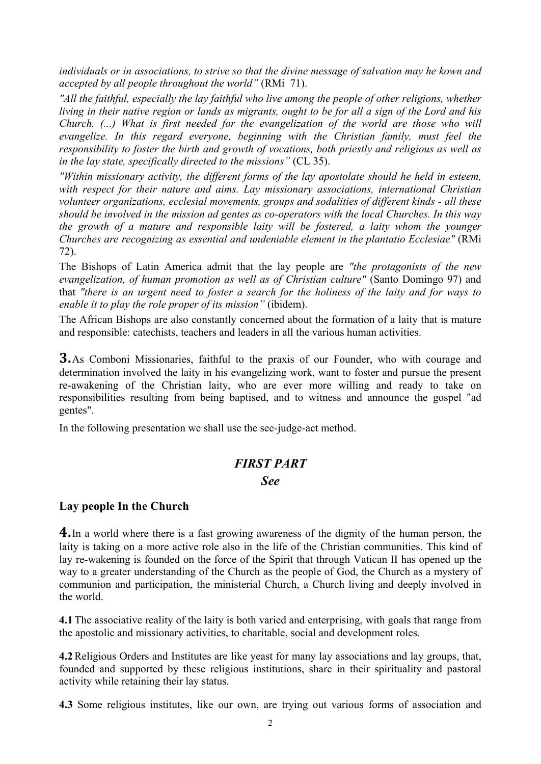*individuals or in associations, to strive so that the divine message of salvation may he kown and accepted by all people throughout the world"* (RMi 71).

*"All the faithful, especially the lay faithful who live among the people of other religions, whether living in their native region or lands as migrants, ought to be for all a sign of the Lord and his Church. (...) What is first needed for the evangelization of the world are those who will evangelize. In this regard everyone, beginning with the Christian family, must feel the responsibility to foster the birth and growth of vocations, both priestly and religious as well as in the lay state, specifically directed to the missions"* (CL 35).

*"Within missionary activity, the different forms of the lay apostolate should he held in esteem, with respect for their nature and aims. Lay missionary associations, international Christian volunteer organizations, ecclesial movements, groups and sodalities of different kinds - all these should be involved in the mission ad gentes as co-operators with the local Churches. In this way the growth of a mature and responsible laity will be fostered, a laity whom the younger Churches are recognizing as essential and undeniable element in the plantatio Ecclesiae"* (RMi 72).

The Bishops of Latin America admit that the lay people are *"the protagonists of the new evangelization, of human promotion as well as of Christian culture"* (Santo Domingo 97) and that *"there is an urgent need to foster a search for the holiness of the laity and for ways to enable it to play the role proper of its mission"* (ibidem).

The African Bishops are also constantly concerned about the formation of a laity that is mature and responsible: catechists, teachers and leaders in all the various human activities.

**3.**As Comboni Missionaries, faithful to the praxis of our Founder, who with courage and determination involved the laity in his evangelizing work, want to foster and pursue the present re-awakening of the Christian laity, who are ever more willing and ready to take on responsibilities resulting from being baptised, and to witness and announce the gospel "ad gentes".

In the following presentation we shall use the see-judge-act method.

# *FIRST PART See*

## **Lay people In the Church**

**4.**In a world where there is a fast growing awareness of the dignity of the human person, the laity is taking on a more active role also in the life of the Christian communities. This kind of lay re-wakening is founded on the force of the Spirit that through Vatican II has opened up the way to a greater understanding of the Church as the people of God, the Church as a mystery of communion and participation, the ministerial Church, a Church living and deeply involved in the world.

**4.1** The associative reality of the laity is both varied and enterprising, with goals that range from the apostolic and missionary activities, to charitable, social and development roles.

**4.2**Religious Orders and Institutes are like yeast for many lay associations and lay groups, that, founded and supported by these religious institutions, share in their spirituality and pastoral activity while retaining their lay status.

**4.3** Some religious institutes, like our own, are trying out various forms of association and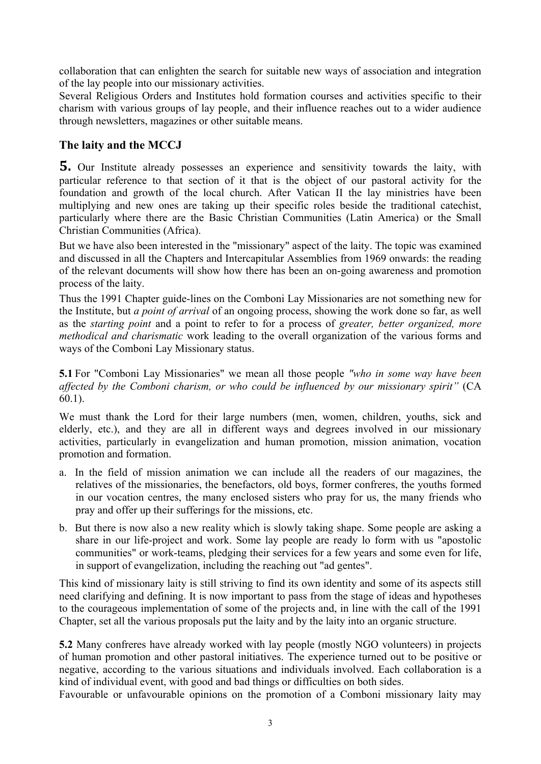collaboration that can enlighten the search for suitable new ways of association and integration of the lay people into our missionary activities.

Several Religious Orders and Institutes hold formation courses and activities specific to their charism with various groups of lay people, and their influence reaches out to a wider audience through newsletters, magazines or other suitable means.

## **The laity and the MCCJ**

**5.** Our Institute already possesses an experience and sensitivity towards the laity, with particular reference to that section of it that is the object of our pastoral activity for the foundation and growth of the local church. After Vatican II the lay ministries have been multiplying and new ones are taking up their specific roles beside the traditional catechist, particularly where there are the Basic Christian Communities (Latin America) or the Small Christian Communities (Africa).

But we have also been interested in the "missionary" aspect of the laity. The topic was examined and discussed in all the Chapters and Intercapitular Assemblies from 1969 onwards: the reading of the relevant documents will show how there has been an on-going awareness and promotion process of the laity.

Thus the 1991 Chapter guide-lines on the Comboni Lay Missionaries are not something new for the Institute, but *a point of arrival* of an ongoing process, showing the work done so far, as well as the *starting point* and a point to refer to for a process of *greater, better organized, more methodical and charismatic* work leading to the overall organization of the various forms and ways of the Comboni Lay Missionary status.

**5.1** For "Comboni Lay Missionaries" we mean all those people *"who in some way have been affected by the Comboni charism, or who could be influenced by our missionary spirit"* (CA 60.1).

We must thank the Lord for their large numbers (men, women, children, youths, sick and elderly, etc.), and they are all in different ways and degrees involved in our missionary activities, particularly in evangelization and human promotion, mission animation, vocation promotion and formation.

- a. In the field of mission animation we can include all the readers of our magazines, the relatives of the missionaries, the benefactors, old boys, former confreres, the youths formed in our vocation centres, the many enclosed sisters who pray for us, the many friends who pray and offer up their sufferings for the missions, etc.
- b. But there is now also a new reality which is slowly taking shape. Some people are asking a share in our life-project and work. Some lay people are ready lo form with us "apostolic communities" or work-teams, pledging their services for a few years and some even for life, in support of evangelization, including the reaching out "ad gentes".

This kind of missionary laity is still striving to find its own identity and some of its aspects still need clarifying and defining. It is now important to pass from the stage of ideas and hypotheses to the courageous implementation of some of the projects and, in line with the call of the 1991 Chapter, set all the various proposals put the laity and by the laity into an organic structure.

**5.2** Many confreres have already worked with lay people (mostly NGO volunteers) in projects of human promotion and other pastoral initiatives. The experience turned out to be positive or negative, according to the various situations and individuals involved. Each collaboration is a kind of individual event, with good and bad things or difficulties on both sides.

Favourable or unfavourable opinions on the promotion of a Comboni missionary laity may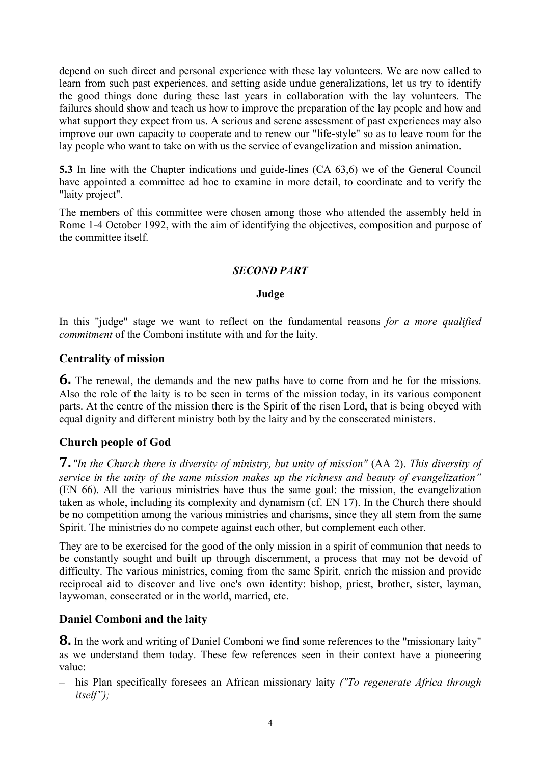depend on such direct and personal experience with these lay volunteers. We are now called to learn from such past experiences, and setting aside undue generalizations, let us try to identify the good things done during these last years in collaboration with the lay volunteers. The failures should show and teach us how to improve the preparation of the lay people and how and what support they expect from us. A serious and serene assessment of past experiences may also improve our own capacity to cooperate and to renew our "life-style" so as to leave room for the lay people who want to take on with us the service of evangelization and mission animation.

**5.3** In line with the Chapter indications and guide-lines (CA 63,6) we of the General Council have appointed a committee ad hoc to examine in more detail, to coordinate and to verify the "laity project".

The members of this committee were chosen among those who attended the assembly held in Rome 1-4 October 1992, with the aim of identifying the objectives, composition and purpose of the committee itself.

#### *SECOND PART*

#### **Judge**

In this "judge" stage we want to reflect on the fundamental reasons *for a more qualified commitment* of the Comboni institute with and for the laity.

#### **Centrality of mission**

**6.** The renewal, the demands and the new paths have to come from and he for the missions. Also the role of the laity is to be seen in terms of the mission today, in its various component parts. At the centre of the mission there is the Spirit of the risen Lord, that is being obeyed with equal dignity and different ministry both by the laity and by the consecrated ministers.

## **Church people of God**

**7.** *"In the Church there is diversity of ministry, but unity of mission"* (AA 2). *This diversity of service in the unity of the same mission makes up the richness and beauty of evangelization"* (EN 66). All the various ministries have thus the same goal: the mission, the evangelization taken as whole, including its complexity and dynamism (cf. EN 17). In the Church there should be no competition among the various ministries and charisms, since they all stem from the same Spirit. The ministries do no compete against each other, but complement each other.

They are to be exercised for the good of the only mission in a spirit of communion that needs to be constantly sought and built up through discernment, a process that may not be devoid of difficulty. The various ministries, coming from the same Spirit, enrich the mission and provide reciprocal aid to discover and live one's own identity: bishop, priest, brother, sister, layman, laywoman, consecrated or in the world, married, etc.

## **Daniel Comboni and the laity**

**8.** In the work and writing of Daniel Comboni we find some references to the "missionary laity" as we understand them today. These few references seen in their context have a pioneering value:

– his Plan specifically foresees an African missionary laity *("To regenerate Africa through itself");*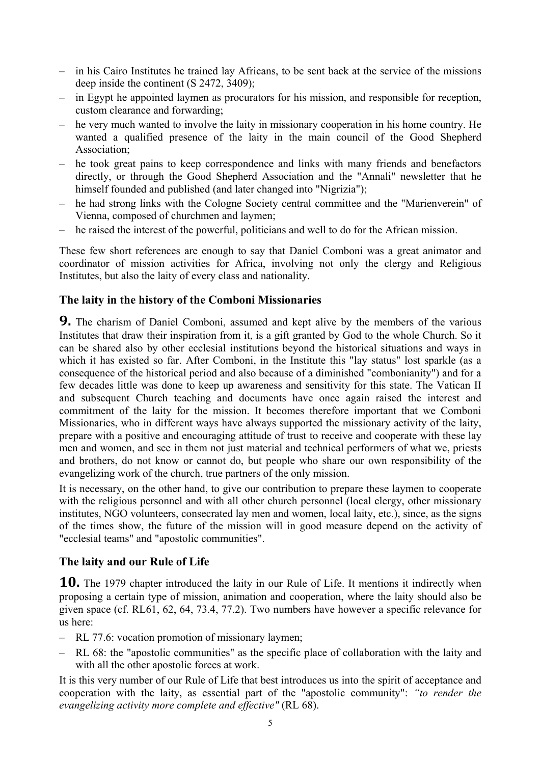- in his Cairo Institutes he trained lay Africans, to be sent back at the service of the missions deep inside the continent (S 2472, 3409);
- in Egypt he appointed laymen as procurators for his mission, and responsible for reception, custom clearance and forwarding;
- he very much wanted to involve the laity in missionary cooperation in his home country. He wanted a qualified presence of the laity in the main council of the Good Shepherd Association;
- he took great pains to keep correspondence and links with many friends and benefactors directly, or through the Good Shepherd Association and the "Annali" newsletter that he himself founded and published (and later changed into "Nigrizia");
- he had strong links with the Cologne Society central committee and the "Marienverein" of Vienna, composed of churchmen and laymen;
- he raised the interest of the powerful, politicians and well to do for the African mission.

These few short references are enough to say that Daniel Comboni was a great animator and coordinator of mission activities for Africa, involving not only the clergy and Religious Institutes, but also the laity of every class and nationality.

## **The laity in the history of the Comboni Missionaries**

**9.** The charism of Daniel Comboni, assumed and kept alive by the members of the various Institutes that draw their inspiration from it, is a gift granted by God to the whole Church. So it can be shared also by other ecclesial institutions beyond the historical situations and ways in which it has existed so far. After Comboni, in the Institute this "lay status" lost sparkle (as a consequence of the historical period and also because of a diminished "combonianity") and for a few decades little was done to keep up awareness and sensitivity for this state. The Vatican II and subsequent Church teaching and documents have once again raised the interest and commitment of the laity for the mission. It becomes therefore important that we Comboni Missionaries, who in different ways have always supported the missionary activity of the laity, prepare with a positive and encouraging attitude of trust to receive and cooperate with these lay men and women, and see in them not just material and technical performers of what we, priests and brothers, do not know or cannot do, but people who share our own responsibility of the evangelizing work of the church, true partners of the only mission.

It is necessary, on the other hand, to give our contribution to prepare these laymen to cooperate with the religious personnel and with all other church personnel (local clergy, other missionary institutes, NGO volunteers, consecrated lay men and women, local laity, etc.), since, as the signs of the times show, the future of the mission will in good measure depend on the activity of "ecclesial teams" and "apostolic communities".

#### **The laity and our Rule of Life**

**10.** The 1979 chapter introduced the laity in our Rule of Life. It mentions it indirectly when proposing a certain type of mission, animation and cooperation, where the laity should also be given space (cf. RL61, 62, 64, 73.4, 77.2). Two numbers have however a specific relevance for us here:

- RL 77.6: vocation promotion of missionary laymen;
- RL 68: the "apostolic communities" as the specific place of collaboration with the laity and with all the other apostolic forces at work.

It is this very number of our Rule of Life that best introduces us into the spirit of acceptance and cooperation with the laity, as essential part of the "apostolic community": *"to render the evangelizing activity more complete and effective"* (RL 68).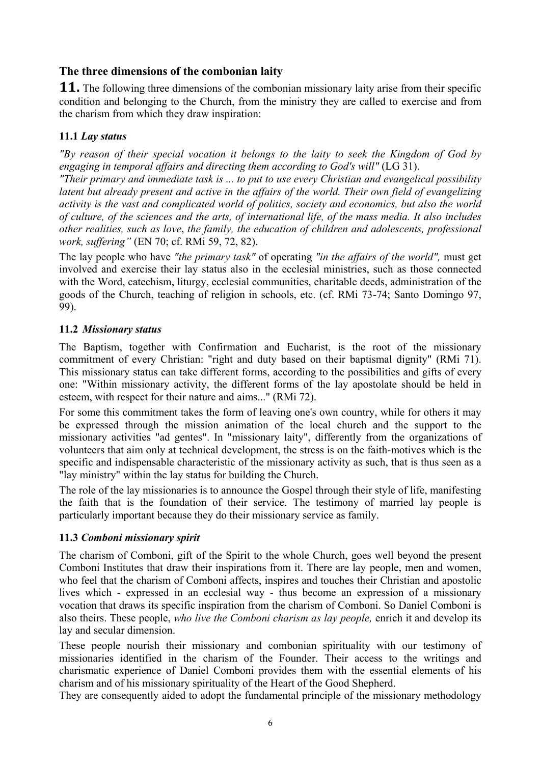## **The three dimensions of the combonian laity**

**11.** The following three dimensions of the combonian missionary laity arise from their specific condition and belonging to the Church, from the ministry they are called to exercise and from the charism from which they draw inspiration:

## **11.1** *Lay status*

*"By reason of their special vocation it belongs to the laity to seek the Kingdom of God by engaging in temporal affairs and directing them according to God's will"* (LG 31).

*"Their primary and immediate task is ... to put to use every Christian and evangelical possibility latent but already present and active in the affairs of the world. Their own field of evangelizing activity is the vast and complicated world of politics, society and economics, but also the world of culture, of the sciences and the arts, of international life, of the mass media. It also includes other realities, such as love*, *the family, the education of children and adolescents, professional work, suffering"* (EN 70; cf. RMi 59, 72, 82).

The lay people who have *"the primary task"* of operating *"in the affairs of the world",* must get involved and exercise their lay status also in the ecclesial ministries, such as those connected with the Word, catechism, liturgy, ecclesial communities, charitable deeds, administration of the goods of the Church, teaching of religion in schools, etc. (cf. RMi 73-74; Santo Domingo 97, 99).

## **11.2** *Missionary status*

The Baptism, together with Confirmation and Eucharist, is the root of the missionary commitment of every Christian: "right and duty based on their baptismal dignity" (RMi 71). This missionary status can take different forms, according to the possibilities and gifts of every one: "Within missionary activity, the different forms of the lay apostolate should be held in esteem, with respect for their nature and aims..." (RMi 72).

For some this commitment takes the form of leaving one's own country, while for others it may be expressed through the mission animation of the local church and the support to the missionary activities "ad gentes". In "missionary laity", differently from the organizations of volunteers that aim only at technical development, the stress is on the faith-motives which is the specific and indispensable characteristic of the missionary activity as such, that is thus seen as a "lay ministry" within the lay status for building the Church.

The role of the lay missionaries is to announce the Gospel through their style of life, manifesting the faith that is the foundation of their service. The testimony of married lay people is particularly important because they do their missionary service as family.

## **11.3** *Comboni missionary spirit*

The charism of Comboni, gift of the Spirit to the whole Church, goes well beyond the present Comboni Institutes that draw their inspirations from it. There are lay people, men and women, who feel that the charism of Comboni affects, inspires and touches their Christian and apostolic lives which - expressed in an ecclesial way - thus become an expression of a missionary vocation that draws its specific inspiration from the charism of Comboni. So Daniel Comboni is also theirs. These people, *who live the Comboni charism as lay people,* enrich it and develop its lay and secular dimension.

These people nourish their missionary and combonian spirituality with our testimony of missionaries identified in the charism of the Founder. Their access to the writings and charismatic experience of Daniel Comboni provides them with the essential elements of his charism and of his missionary spirituality of the Heart of the Good Shepherd.

They are consequently aided to adopt the fundamental principle of the missionary methodology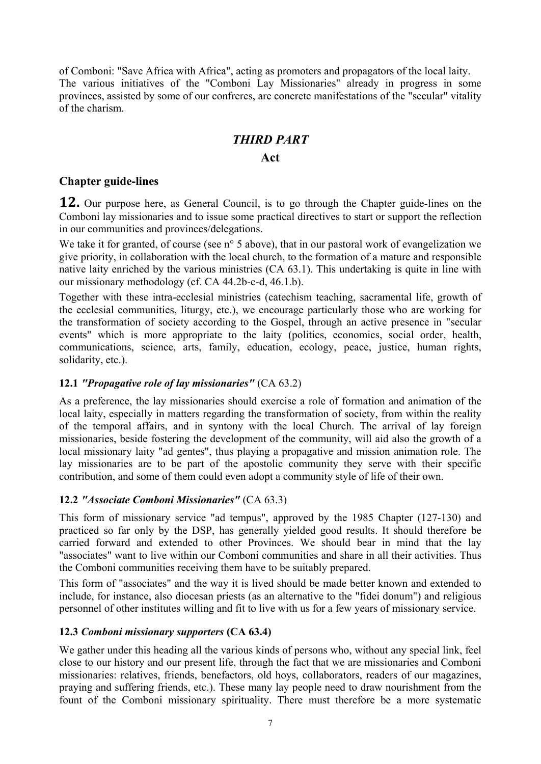of Comboni: "Save Africa with Africa", acting as promoters and propagators of the local laity. The various initiatives of the "Comboni Lay Missionaries" already in progress in some provinces, assisted by some of our confreres, are concrete manifestations of the "secular" vitality of the charism.

# *THIRD PART*

## **Act**

## **Chapter guide-lines**

**12.** Our purpose here, as General Council, is to go through the Chapter guide-lines on the Comboni lay missionaries and to issue some practical directives to start or support the reflection in our communities and provinces/delegations.

We take it for granted, of course (see n° 5 above), that in our pastoral work of evangelization we give priority, in collaboration with the local church, to the formation of a mature and responsible native laity enriched by the various ministries (CA 63.1). This undertaking is quite in line with our missionary methodology (cf. CA 44.2b-c-d, 46.1.b).

Together with these intra-ecclesial ministries (catechism teaching, sacramental life, growth of the ecclesial communities, liturgy, etc.), we encourage particularly those who are working for the transformation of society according to the Gospel, through an active presence in "secular events" which is more appropriate to the laity (politics, economics, social order, health, communications, science, arts, family, education, ecology, peace, justice, human rights, solidarity, etc.).

#### **12.1** *"Propagative role of lay missionaries"* (CA 63.2)

As a preference, the lay missionaries should exercise a role of formation and animation of the local laity, especially in matters regarding the transformation of society, from within the reality of the temporal affairs, and in syntony with the local Church. The arrival of lay foreign missionaries, beside fostering the development of the community, will aid also the growth of a local missionary laity "ad gentes", thus playing a propagative and mission animation role. The lay missionaries are to be part of the apostolic community they serve with their specific contribution, and some of them could even adopt a community style of life of their own.

#### **12.2** *"Associate Comboni Missionaries"* (CA 63.3)

This form of missionary service "ad tempus", approved by the 1985 Chapter (127-130) and practiced so far only by the DSP, has generally yielded good results. It should therefore be carried forward and extended to other Provinces. We should bear in mind that the lay "associates" want to live within our Comboni communities and share in all their activities. Thus the Comboni communities receiving them have to be suitably prepared.

This form of "associates" and the way it is lived should be made better known and extended to include, for instance, also diocesan priests (as an alternative to the "fidei donum") and religious personnel of other institutes willing and fit to live with us for a few years of missionary service.

#### **12.3** *Comboni missionary supporters* **(CA 63.4)**

We gather under this heading all the various kinds of persons who, without any special link, feel close to our history and our present life, through the fact that we are missionaries and Comboni missionaries: relatives, friends, benefactors, old hoys, collaborators, readers of our magazines, praying and suffering friends, etc.). These many lay people need to draw nourishment from the fount of the Comboni missionary spirituality. There must therefore be a more systematic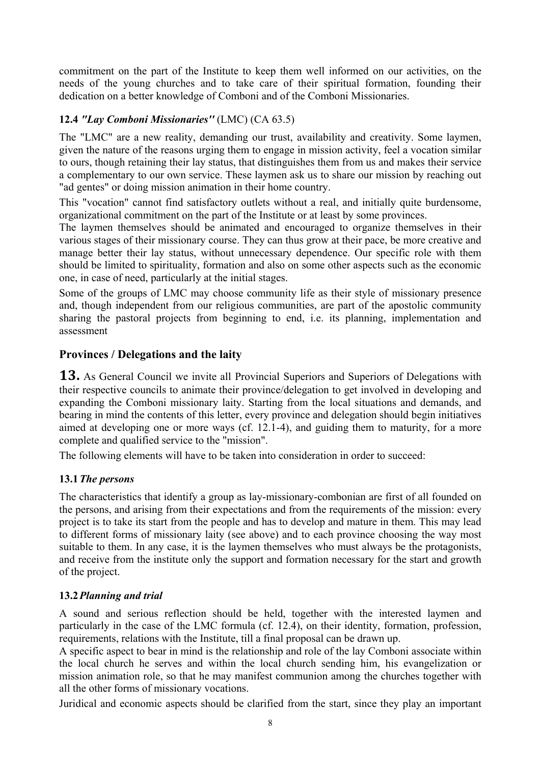commitment on the part of the Institute to keep them well informed on our activities, on the needs of the young churches and to take care of their spiritual formation, founding their dedication on a better knowledge of Comboni and of the Comboni Missionaries.

## **12.4** *"Lay Comboni Missionaries''* (LMC) (CA 63.5)

The "LMC" are a new reality, demanding our trust, availability and creativity. Some laymen, given the nature of the reasons urging them to engage in mission activity, feel a vocation similar to ours, though retaining their lay status, that distinguishes them from us and makes their service a complementary to our own service. These laymen ask us to share our mission by reaching out "ad gentes" or doing mission animation in their home country.

This "vocation" cannot find satisfactory outlets without a real, and initially quite burdensome, organizational commitment on the part of the Institute or at least by some provinces.

The laymen themselves should be animated and encouraged to organize themselves in their various stages of their missionary course. They can thus grow at their pace, be more creative and manage better their lay status, without unnecessary dependence. Our specific role with them should be limited to spirituality, formation and also on some other aspects such as the economic one, in case of need, particularly at the initial stages.

Some of the groups of LMC may choose community life as their style of missionary presence and, though independent from our religious communities, are part of the apostolic community sharing the pastoral projects from beginning to end, i.e. its planning, implementation and assessment

## **Provinces / Delegations and the laity**

13. As General Council we invite all Provincial Superiors and Superiors of Delegations with their respective councils to animate their province/delegation to get involved in developing and expanding the Comboni missionary laity. Starting from the local situations and demands, and bearing in mind the contents of this letter, every province and delegation should begin initiatives aimed at developing one or more ways (cf. 12.1-4), and guiding them to maturity, for a more complete and qualified service to the "mission".

The following elements will have to be taken into consideration in order to succeed:

## **13.1***The persons*

The characteristics that identify a group as lay-missionary-combonian are first of all founded on the persons, and arising from their expectations and from the requirements of the mission: every project is to take its start from the people and has to develop and mature in them. This may lead to different forms of missionary laity (see above) and to each province choosing the way most suitable to them. In any case, it is the laymen themselves who must always be the protagonists, and receive from the institute only the support and formation necessary for the start and growth of the project.

## **13.2***Planning and trial*

A sound and serious reflection should be held, together with the interested laymen and particularly in the case of the LMC formula (cf. 12.4), on their identity, formation, profession, requirements, relations with the Institute, till a final proposal can be drawn up.

A specific aspect to bear in mind is the relationship and role of the lay Comboni associate within the local church he serves and within the local church sending him, his evangelization or mission animation role, so that he may manifest communion among the churches together with all the other forms of missionary vocations.

Juridical and economic aspects should be clarified from the start, since they play an important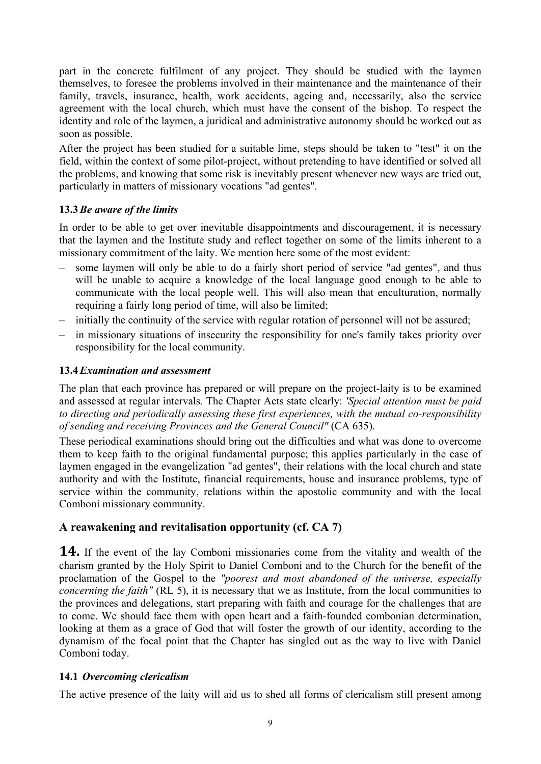part in the concrete fulfilment of any project. They should be studied with the laymen themselves, to foresee the problems involved in their maintenance and the maintenance of their family, travels, insurance, health, work accidents, ageing and, necessarily, also the service agreement with the local church, which must have the consent of the bishop. To respect the identity and role of the laymen, a juridical and administrative autonomy should be worked out as soon as possible.

After the project has been studied for a suitable lime, steps should be taken to "test" it on the field, within the context of some pilot-project, without pretending to have identified or solved all the problems, and knowing that some risk is inevitably present whenever new ways are tried out, particularly in matters of missionary vocations "ad gentes".

#### **13.3***Be aware of the limits*

In order to be able to get over inevitable disappointments and discouragement, it is necessary that the laymen and the Institute study and reflect together on some of the limits inherent to a missionary commitment of the laity. We mention here some of the most evident:

- some laymen will only be able to do a fairly short period of service "ad gentes", and thus will be unable to acquire a knowledge of the local language good enough to be able to communicate with the local people well. This will also mean that enculturation, normally requiring a fairly long period of time, will also be limited;
- initially the continuity of the service with regular rotation of personnel will not be assured;
- in missionary situations of insecurity the responsibility for one's family takes priority over responsibility for the local community.

#### **13.4***Examination and assessment*

The plan that each province has prepared or will prepare on the project-laity is to be examined and assessed at regular intervals. The Chapter Acts state clearly: *'Special attention must be paid to directing and periodically assessing these first experiences, with the mutual co-responsibility of sending and receiving Provinces and the General Council"* (CA 635).

These periodical examinations should bring out the difficulties and what was done to overcome them to keep faith to the original fundamental purpose; this applies particularly in the case of laymen engaged in the evangelization "ad gentes", their relations with the local church and state authority and with the Institute, financial requirements, house and insurance problems, type of service within the community, relations within the apostolic community and with the local Comboni missionary community.

## **A reawakening and revitalisation opportunity (cf. CA 7)**

**14.** If the event of the lay Comboni missionaries come from the vitality and wealth of the charism granted by the Holy Spirit to Daniel Comboni and to the Church for the benefit of the proclamation of the Gospel to the *"poorest and most abandoned of the universe, especially concerning the faith"* (RL 5), it is necessary that we as Institute, from the local communities to the provinces and delegations, start preparing with faith and courage for the challenges that are to come. We should face them with open heart and a faith-founded combonian determination, looking at them as a grace of God that will foster the growth of our identity, according to the dynamism of the focal point that the Chapter has singled out as the way to live with Daniel Comboni today.

## **14.1** *Overcoming clericalism*

The active presence of the laity will aid us to shed all forms of clericalism still present among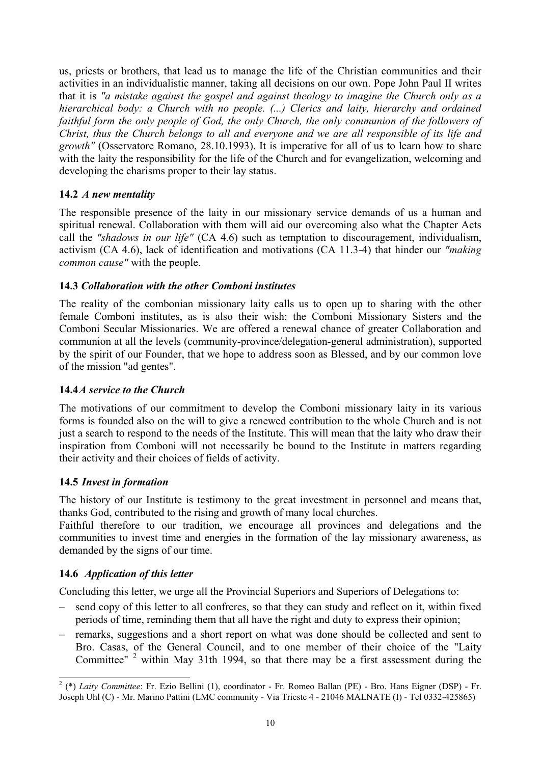us, priests or brothers, that lead us to manage the life of the Christian communities and their activities in an individualistic manner, taking all decisions on our own. Pope John Paul II writes that it is *"a mistake against the gospel and against theology to imagine the Church only as a hierarchical body: a Church with no people. (...) Clerics and laity, hierarchy and ordained faithful form the only people of God, the only Church, the only communion of the followers of Christ, thus the Church belongs to all and everyone and we are all responsible of its life and growth"* (Osservatore Romano, 28.10.1993). It is imperative for all of us to learn how to share with the laity the responsibility for the life of the Church and for evangelization, welcoming and developing the charisms proper to their lay status.

## **14.2** *A new mentality*

The responsible presence of the laity in our missionary service demands of us a human and spiritual renewal. Collaboration with them will aid our overcoming also what the Chapter Acts call the *"shadows in our life"* (CA 4.6) such as temptation to discouragement, individualism, activism (CA 4.6), lack of identification and motivations (CA 11.3-4) that hinder our *"making common cause"* with the people.

#### **14.3** *Collaboration with the other Comboni institutes*

The reality of the combonian missionary laity calls us to open up to sharing with the other female Comboni institutes, as is also their wish: the Comboni Missionary Sisters and the Comboni Secular Missionaries. We are offered a renewal chance of greater Collaboration and communion at all the levels (community-province/delegation-general administration), supported by the spirit of our Founder, that we hope to address soon as Blessed, and by our common love of the mission "ad gentes".

#### **14.4***A service to the Church*

The motivations of our commitment to develop the Comboni missionary laity in its various forms is founded also on the will to give a renewed contribution to the whole Church and is not just a search to respond to the needs of the Institute. This will mean that the laity who draw their inspiration from Comboni will not necessarily be bound to the Institute in matters regarding their activity and their choices of fields of activity.

#### **14.5** *Invest in formation*

The history of our Institute is testimony to the great investment in personnel and means that, thanks God, contributed to the rising and growth of many local churches.

Faithful therefore to our tradition, we encourage all provinces and delegations and the communities to invest time and energies in the formation of the lay missionary awareness, as demanded by the signs of our time.

#### **14.6** *Application of this letter*

Concluding this letter, we urge all the Provincial Superiors and Superiors of Delegations to:

- send copy of this letter to all confreres, so that they can study and reflect on it, within fixed periods of time, reminding them that all have the right and duty to express their opinion;
- remarks, suggestions and a short report on what was done should be collected and sent to Bro. Casas, of the General Council, and to one member of their choice of the "Laity Committee" <sup>2</sup> within May 31th 1994, so that there may be a first assessment during the

l <sup>2</sup> (\*) *Laity Committee*: Fr. Ezio Bellini (1), coordinator - Fr. Romeo Ballan (PE) - Bro. Hans Eigner (DSP) - Fr. Joseph Uhl (C) - Mr. Marino Pattini (LMC community - Via Trieste 4 - 21046 MALNATE (I) - Tel 0332-425865)